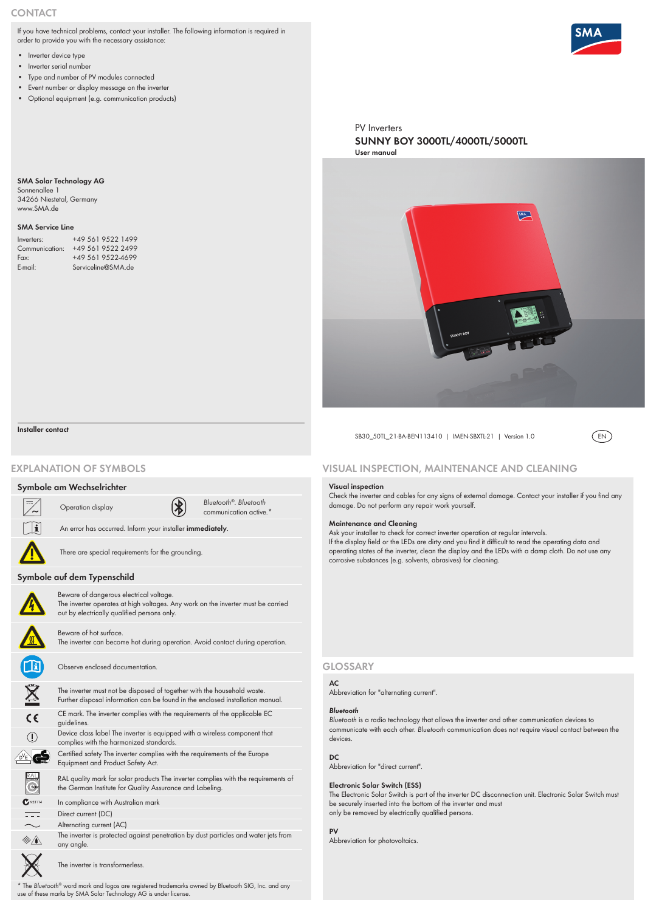PV Inverters **[SUNNY BOY](http://www.infiniteenergy.com.au/manufacturers/sma) 3000TL/4000TL/5000TL User manual**



SB30\_50TL\_21-BA-BEN113410 | IMEN-SBXTL-21 | Version 1.0 (EN)



**AC**

Abbreviation for "alternating current".

#### *Bluetooth*

*Bluetooth* is a radio technology that allows the inverter and other communication devices to communicate with each other. *Bluetooth* communication does not require visual contact between the devices.

## **DC**

Abbreviation for "direct current".

### **Electronic Solar Switch (ESS)**

The Electronic Solar Switch is part of the inverter DC disconnection unit. Electronic Solar Switch must be securely inserted into the bottom of the inverter and must only be removed by electrically qualified persons.

#### **PV**

Abbreviation for photovoltaics.

### **Visual inspection**

Check the inverter and cables for any signs of external damage. Contact your installer if you find any damage. Do not perform any repair work yourself.

## **Maintenance and Cleaning**

Ask your installer to check for correct inverter operation at regular intervals. If the display field or the LEDs are dirty and you find it difficult to read the operating data and operating states of the inverter, clean the display and the LEDs with a damp cloth. Do not use any corrosive substances (e.g. solvents, abrasives) for cleaning.

 $\overline{\phantom{m}}$ Direct current (DC)

# **Visual inspection, maintenance and cleaning**

## **Symbole am Wechselrichter**



- $\sim$ Alternating current (AC)
- $\qquad \qquad \textcircled{\tiny $ \bigstar$}$
- The inverter is protected against penetration by dust particles and water jets from any angle.



communication active.\*



An error has occurred. Inform your installer **immediately**.

There are special requirements for the grounding.

## **Symbole auf dem Typenschild**



Beware of dangerous electrical voltage. The inverter operates at high voltages. Any work on the inverter must be carried out by electrically qualified persons only.

- Inverter device type
- Inverter serial number
- Type and number of PV modules connected
- Event number or display message on the inverter
- Optional equipment (e.g. communication products)

Beware of hot surface.

The inverter can become hot during operation. Avoid contact during operation.

Operation display *Bluetooth<sup>®</sup>*. *Bluetooth*<sup>®</sup>. *Bluetooth communication active*.

Observe enclosed documentation.

The inverter must not be disposed of together with the household waste. Further disposal information can be found in the enclosed installation manual.





CE mark. The inverter complies with the requirements of the applicable EC guidelines.



Device class label The inverter is equipped with a wireless component that complies with the harmonized standards.



Certified safety The inverter complies with the requirements of the Europe Equipment and Product Safety Act.



RAL quality mark for solar products The inverter complies with the requirements of the German Institute for Quality Assurance and Labeling.

 $C^{N23114}$ 

In compliance with Australian mark

The inverter is transformerless.

\* The *Bluetooth®* word mark and logos are registered trademarks owned by Bluetooth SIG, Inc. and any use of these marks by SMA Solar Technology AG is under license.

## **Explanation of Symbols**

## **Glossary**

## **Installer contact**

# **Contact**

If you have technical problems, contact your installer. The following information is required in order to provide you with the necessary assistance:

## **SMA Solar Technology AG**

Sonnenallee 1 34266 Niestetal, Germany www.SMA.de

### **SMA Service Line**

| Inverters:     | +49 561 9522 1499  |
|----------------|--------------------|
| Communication: | +49 561 9522 2499  |
| Fax:           | +49 561 9522-4699  |
| $E$ -mail:     | Serviceline@SMA.de |